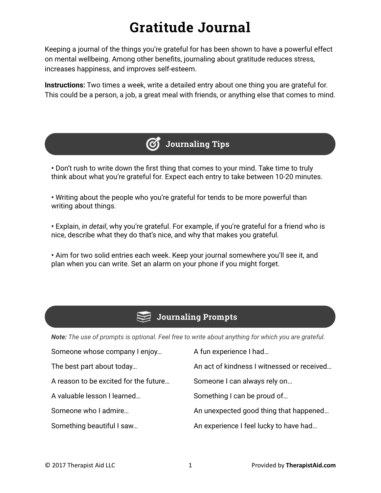## **Gratitude Journal**

Keeping a journal of the things you're grateful for has been shown to have a powerful effect on mental wellbeing. Among other benefits, journaling about gratitude reduces stress, increases happiness, and improves self-esteem.

**Instructions:** Two times a week, write a detailed entry about one thing you are grateful for. This could be a person, a job, a great meal with friends, or anything else that comes to mind.



**•** Don't rush to write down the first thing that comes to your mind. Take time to truly think about what you're grateful for. Expect each entry to take between 10-20 minutes.

**•** Writing about the people who you're grateful for tends to be more powerful than writing about things.

**•** Explain, *in detail*, why you're grateful. For example, if you're grateful for a friend who is nice, describe what they do that's nice, and why that makes you grateful.

**•** Aim for two solid entries each week. Keep your journal somewhere you'll see it, and plan when you can write. Set an alarm on your phone if you might forget.

## **Journaling Prompts**

*Note: The use of prompts is optional. Feel free to write about anything for which you are grateful.*

| Someone whose company I enjoy         | A fun experience I had                     |
|---------------------------------------|--------------------------------------------|
| The best part about today             | An act of kindness I witnessed or received |
| A reason to be excited for the future | Someone I can always rely on               |
| A valuable lesson I learned           | Something I can be proud of                |
| Someone who I admire                  | An unexpected good thing that happened     |
| Something beautiful I saw             | An experience I feel lucky to have had     |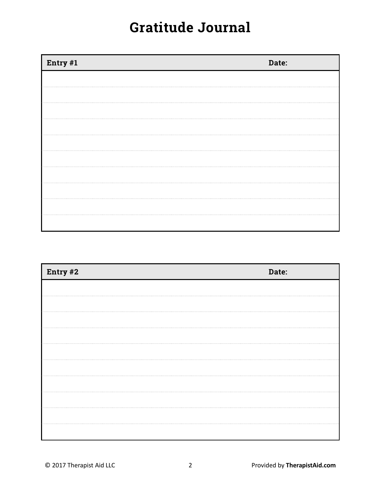## **Gratitude Journal**

| Entry #1 | Date: |
|----------|-------|
|          |       |
|          |       |
|          |       |
|          |       |
|          |       |
|          |       |
|          |       |
|          |       |
|          |       |
|          |       |

| Entry #2 | Date: |
|----------|-------|
|          |       |
|          |       |
|          |       |
|          |       |
|          |       |
|          |       |
|          |       |
|          |       |
|          |       |
|          |       |